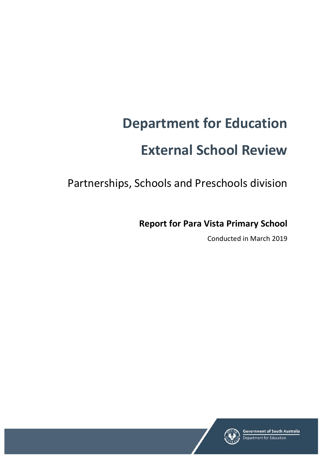# **Department for Education External School Review**

Partnerships, Schools and Preschools division

**Report for Para Vista Primary School**

Conducted in March 2019

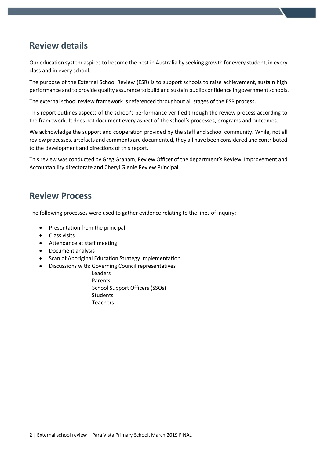# **Review details**

Our education system aspires to become the best in Australia by seeking growth for every student, in every class and in every school.

The purpose of the External School Review (ESR) is to support schools to raise achievement, sustain high performance and to provide quality assurance to build and sustain public confidence in government schools.

The external school review framework is referenced throughout all stages of the ESR process.

This report outlines aspects of the school's performance verified through the review process according to the framework. It does not document every aspect of the school's processes, programs and outcomes.

We acknowledge the support and cooperation provided by the staff and school community. While, not all review processes, artefacts and comments are documented, they all have been considered and contributed to the development and directions of this report.

This review was conducted by Greg Graham, Review Officer of the department's Review, Improvement and Accountability directorate and Cheryl Glenie Review Principal.

## **Review Process**

The following processes were used to gather evidence relating to the lines of inquiry:

- Presentation from the principal
- Class visits
- Attendance at staff meeting
- Document analysis
- Scan of Aboriginal Education Strategy implementation
- Discussions with: Governing Council representatives
	- Leaders Parents School Support Officers (SSOs) **Students** Teachers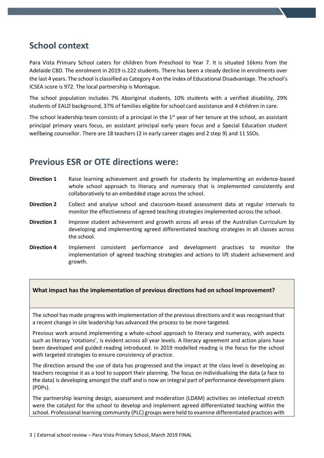# **School context**

Para Vista Primary School caters for children from Preschool to Year 7. It is situated 16kms from the Adelaide CBD. The enrolment in 2019 is 222 students. There has been a steady decline in enrolments over the last 4 years. The school is classified as Category 4 on the Index of Educational Disadvantage. The school's ICSEA score is 972. The local partnership is Montague.

The school population includes 7% Aboriginal students, 10% students with a verified disability, 29% students of EALD background, 37% of families eligible for school card assistance and 4 children in care.

The school leadership team consists of a principal in the  $1<sup>st</sup>$  year of her tenure at the school, an assistant principal primary years focus, an assistant principal early years focus and a Special Education student wellbeing counsellor. There are 18 teachers (2 in early career stages and 2 step 9) and 11 SSOs.

## **Previous ESR or OTE directions were:**

- **Direction 1** Raise learning achievement and growth for students by implementing an evidence-based whole school approach to literacy and numeracy that is implemented consistently and collaboratively to an embedded stage across the school.
- **Direction 2** Collect and analyse school and classroom-based assessment data at regular intervals to monitor the effectiveness of agreed teaching strategies implemented across the school.
- **Direction 3** Improve student achievement and growth across all areas of the Australian Curriculum by developing and implementing agreed differentiated teaching strategies in all classes across the school.
- **Direction 4** Implement consistent performance and development practices to monitor the implementation of agreed teaching strategies and actions to lift student achievement and growth.

## **What impact has the implementation of previous directions had on school improvement?**

The school has made progress with implementation of the previous directions and it was recognised that a recent change in site leadership has advanced the process to be more targeted.

Previous work around implementing a whole-school approach to literacy and numeracy, with aspects such as literacy 'rotations', is evident across all year levels. A literacy agreement and action plans have been developed and guided reading introduced. In 2019 modelled reading is the focus for the school with targeted strategies to ensure consistency of practice.

The direction around the use of data has progressed and the impact at the class level is developing as teachers recognise it as a tool to support their planning. The focus on individualising the data (a face to the data) is developing amongst the staff and is now an integral part of performance development plans (PDPs).

The partnership learning design, assessment and moderation (LDAM) activities on intellectual stretch were the catalyst for the school to develop and implement agreed differentiated teaching within the school. Professional learning community (PLC) groups were held to examine differentiated practices with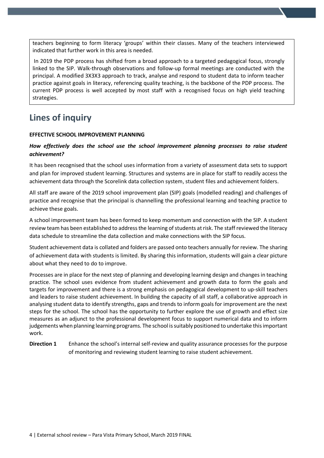teachers beginning to form literacy 'groups' within their classes. Many of the teachers interviewed indicated that further work in this area is needed.

In 2019 the PDP process has shifted from a broad approach to a targeted pedagogical focus, strongly linked to the SIP. Walk-through observations and follow-up formal meetings are conducted with the principal. A modified 3X3X3 approach to track, analyse and respond to student data to inform teacher practice against goals in literacy, referencing quality teaching, is the backbone of the PDP process. The current PDP process is well accepted by most staff with a recognised focus on high yield teaching strategies.

# **Lines of inquiry**

#### **EFFECTIVE SCHOOL IMPROVEMENT PLANNING**

### *How effectively does the school use the school improvement planning processes to raise student achievement?*

It has been recognised that the school uses information from a variety of assessment data sets to support and plan for improved student learning. Structures and systems are in place for staff to readily access the achievement data through the Scorelink data collection system, student files and achievement folders.

All staff are aware of the 2019 school improvement plan (SIP) goals (modelled reading) and challenges of practice and recognise that the principal is channelling the professional learning and teaching practice to achieve these goals.

A school improvement team has been formed to keep momentum and connection with the SIP. A student review team has been established to address the learning of students at risk. The staff reviewed the literacy data schedule to streamline the data collection and make connections with the SIP focus.

Student achievement data is collated and folders are passed onto teachers annually for review. The sharing of achievement data with students is limited. By sharing this information, students will gain a clear picture about what they need to do to improve.

Processes are in place for the next step of planning and developing learning design and changes in teaching practice. The school uses evidence from student achievement and growth data to form the goals and targets for improvement and there is a strong emphasis on pedagogical development to up-skill teachers and leaders to raise student achievement. In building the capacity of all staff, a collaborative approach in analysing student data to identify strengths, gaps and trends to inform goals for improvement are the next steps for the school. The school has the opportunity to further explore the use of growth and effect size measures as an adjunct to the professional development focus to support numerical data and to inform judgements when planning learning programs. The school issuitably positioned to undertake this important work.

**Direction 1** Enhance the school's internal self-review and quality assurance processes for the purpose of monitoring and reviewing student learning to raise student achievement.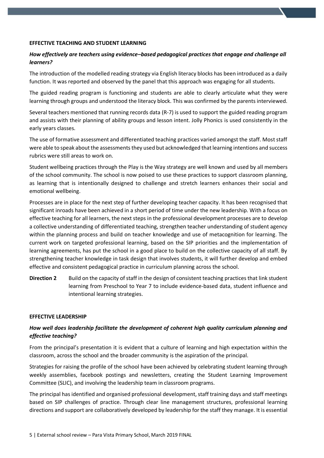#### **EFFECTIVE TEACHING AND STUDENT LEARNING**

## *How effectively are teachers using evidence–based pedagogical practices that engage and challenge all learners?*

The introduction of the modelled reading strategy via English literacy blocks has been introduced as a daily function. It was reported and observed by the panel that this approach was engaging for all students.

The guided reading program is functioning and students are able to clearly articulate what they were learning through groups and understood the literacy block. This was confirmed by the parents interviewed.

Several teachers mentioned that running records data (R-7) is used to support the guided reading program and assists with their planning of ability groups and lesson intent. Jolly Phonics is used consistently in the early years classes.

The use of formative assessment and differentiated teaching practices varied amongst the staff. Most staff were able to speak about the assessments they used but acknowledged that learning intentions and success rubrics were still areas to work on.

Student wellbeing practices through the Play is the Way strategy are well known and used by all members of the school community. The school is now poised to use these practices to support classroom planning, as learning that is intentionally designed to challenge and stretch learners enhances their social and emotional wellbeing.

Processes are in place for the next step of further developing teacher capacity. It has been recognised that significant inroads have been achieved in a short period of time under the new leadership. With a focus on effective teaching for all learners, the next steps in the professional development processes are to develop a collective understanding of differentiated teaching, strengthen teacher understanding of student agency within the planning process and build on teacher knowledge and use of metacognition for learning. The current work on targeted professional learning, based on the SIP priorities and the implementation of learning agreements, has put the school in a good place to build on the collective capacity of all staff. By strengthening teacher knowledge in task design that involves students, it will further develop and embed effective and consistent pedagogical practice in curriculum planning across the school.

**Direction 2** Build on the capacity of staff in the design of consistent teaching practices that link student learning from Preschool to Year 7 to include evidence-based data, student influence and intentional learning strategies.

#### **EFFECTIVE LEADERSHIP**

## *How well does leadership facilitate the development of coherent high quality curriculum planning and effective teaching?*

From the principal's presentation it is evident that a culture of learning and high expectation within the classroom, across the school and the broader community is the aspiration of the principal.

Strategies for raising the profile of the school have been achieved by celebrating student learning through weekly assemblies, facebook postings and newsletters, creating the Student Learning Improvement Committee (SLIC), and involving the leadership team in classroom programs.

The principal has identified and organised professional development, staff training days and staff meetings based on SIP challenges of practice. Through clear line management structures, professional learning directions and support are collaboratively developed by leadership for the staff they manage. It is essential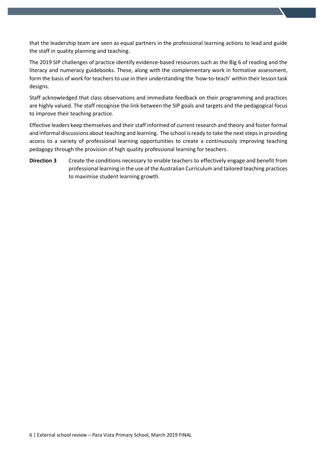that the leadership team are seen as equal partners in the professional learning actions to lead and guide the staff in quality planning and teaching.

The 2019 SIP challenges of practice identify evidence-based resources such as the Big 6 of reading and the literacy and numeracy guidebooks. These, along with the complementary work in formative assessment, form the basis of work for teachers to use in their understanding the 'how-to-teach' within their lesson task designs.

Staff acknowledged that class observations and immediate feedback on their programming and practices are highly valued. The staff recognise the link between the SIP goals and targets and the pedagogical focus to improve their teaching practice.

Effective leaders keep themselves and their staff informed of current research and theory and foster formal and informal discussions about teaching and learning. The school is ready to take the next steps in providing access to a variety of professional learning opportunities to create a continuously improving teaching pedagogy through the provision of high quality professional learning for teachers.

**Direction 3** Create the conditions necessary to enable teachers to effectively engage and benefit from professional learning in the use of the Australian Curriculum and tailored teaching practices to maximise student learning growth.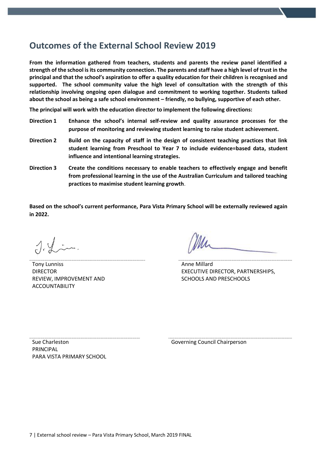## **Outcomes of the External School Review 2019**

**From the information gathered from teachers, students and parents the review panel identified a strength of the school is its community connection. The parents and staff have a high level of trust in the principal and that the school's aspiration to offer a quality education for their children is recognised and supported. The school community value the high level of consultation with the strength of this relationship involving ongoing open dialogue and commitment to working together. Students talked about the school as being a safe school environment – friendly, no bullying, supportive of each other.**

**The principal will work with the education director to implement the following directions:**

- **Direction 1 Enhance the school's internal self-review and quality assurance processes for the purpose of monitoring and reviewing student learning to raise student achievement.**
- **Direction 2 Build on the capacity of staff in the design of consistent teaching practices that link student learning from Preschool to Year 7 to include evidence=based data, student influence and intentional learning strategies.**
- **Direction 3 Create the conditions necessary to enable teachers to effectively engage and benefit from professional learning in the use of the Australian Curriculum and tailored teaching practices to maximise student learning growth**.

**Based on the school's current performance, Para Vista Primary School will be externally reviewed again in 2022.**

 $\lambda$   $\lambda$  in.

Tony Lunniss DIRECTOR REVIEW, IMPROVEMENT AND ACCOUNTABILITY

Anne Millard EXECUTIVE DIRECTOR, PARTNERSHIPS, SCHOOLS AND PRESCHOOLS

Sue Charleston PRINCIPAL PARA VISTA PRIMARY SCHOOL

Governing Council Chairperson